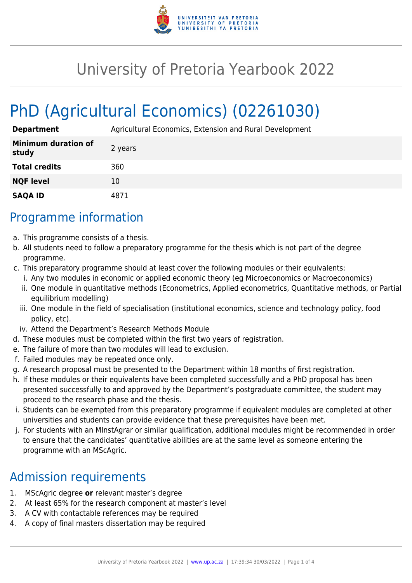

## University of Pretoria Yearbook 2022

# PhD (Agricultural Economics) (02261030)

| <b>Department</b>                   | Agricultural Economics, Extension and Rural Development |
|-------------------------------------|---------------------------------------------------------|
| <b>Minimum duration of</b><br>study | 2 years                                                 |
| <b>Total credits</b>                | 360                                                     |
| <b>NQF level</b>                    | 10                                                      |
| <b>SAQA ID</b>                      | 4871                                                    |

#### Programme information

- a. This programme consists of a thesis.
- b. All students need to follow a preparatory programme for the thesis which is not part of the degree programme.
- c. This preparatory programme should at least cover the following modules or their equivalents:
	- i. Any two modules in economic or applied economic theory (eg Microeconomics or Macroeconomics)
	- ii. One module in quantitative methods (Econometrics, Applied econometrics, Quantitative methods, or Partial equilibrium modelling)
	- iii. One module in the field of specialisation (institutional economics, science and technology policy, food policy, etc).
	- iv. Attend the Department's Research Methods Module
- d. These modules must be completed within the first two years of registration.
- e. The failure of more than two modules will lead to exclusion.
- f. Failed modules may be repeated once only.
- g. A research proposal must be presented to the Department within 18 months of first registration.
- h. If these modules or their equivalents have been completed successfully and a PhD proposal has been presented successfully to and approved by the Department's postgraduate committee, the student may proceed to the research phase and the thesis.
- i. Students can be exempted from this preparatory programme if equivalent modules are completed at other universities and students can provide evidence that these prerequisites have been met.
- j. For students with an MInstAgrar or similar qualification, additional modules might be recommended in order to ensure that the candidates' quantitative abilities are at the same level as someone entering the programme with an MScAgric.

### Admission requirements

- 1. MScAgric degree **or** relevant master's degree
- 2. At least 65% for the research component at master's level
- 3. A CV with contactable references may be required
- 4. A copy of final masters dissertation may be required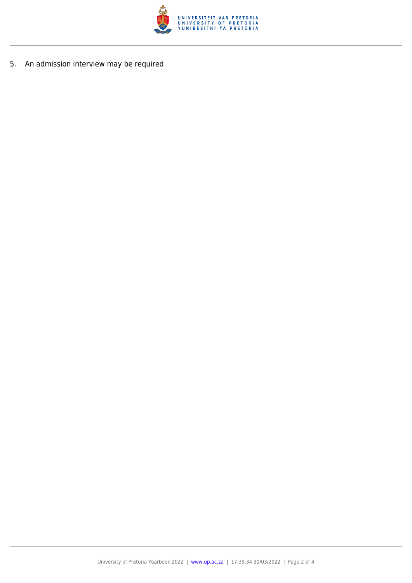

5. An admission interview may be required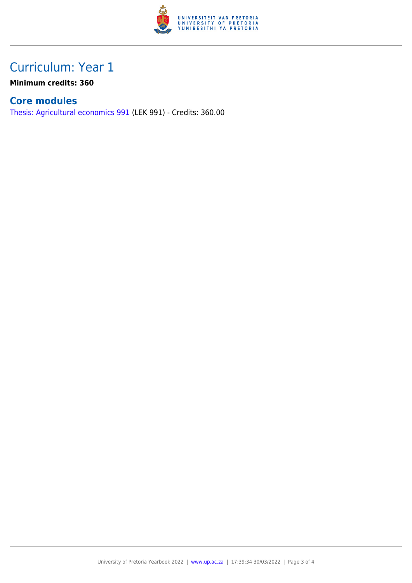

## Curriculum: Year 1

**Minimum credits: 360**

#### **Core modules**

[Thesis: Agricultural economics 991](https://www.up.ac.za/parents/yearbooks/2022/modules/view/LEK 991) (LEK 991) - Credits: 360.00